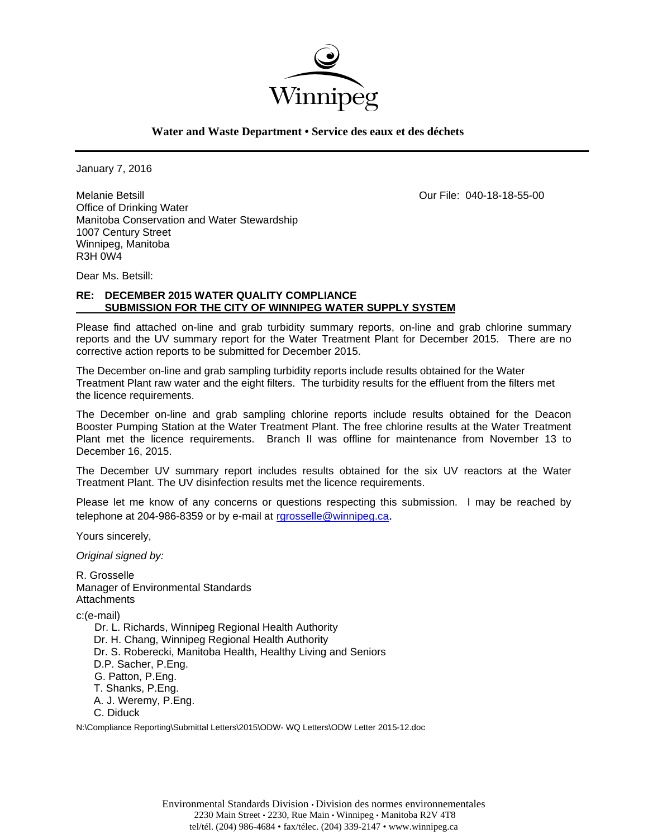

**Water and Waste Department • Service des eaux et des déchets**

January 7, 2016

Melanie Betsill Our File: 040-18-18-55-00 Office of Drinking Water Manitoba Conservation and Water Stewardship 1007 Century Street Winnipeg, Manitoba R3H 0W4

Dear Ms. Betsill:

# **RE: DECEMBER 2015 WATER QUALITY COMPLIANCE SUBMISSION FOR THE CITY OF WINNIPEG WATER SUPPLY SYSTEM**

Please find attached on-line and grab turbidity summary reports, on-line and grab chlorine summary reports and the UV summary report for the Water Treatment Plant for December 2015. There are no corrective action reports to be submitted for December 2015.

The December on-line and grab sampling turbidity reports include results obtained for the Water Treatment Plant raw water and the eight filters. The turbidity results for the effluent from the filters met the licence requirements.

The December on-line and grab sampling chlorine reports include results obtained for the Deacon Booster Pumping Station at the Water Treatment Plant. The free chlorine results at the Water Treatment Plant met the licence requirements. Branch II was offline for maintenance from November 13 to December 16, 2015.

The December UV summary report includes results obtained for the six UV reactors at the Water Treatment Plant. The UV disinfection results met the licence requirements.

Please let me know of any concerns or questions respecting this submission. I may be reached by telephone at 204-986-8359 or by e-mail at rgrosselle@winnipeg.ca.

Yours sincerely,

*Original signed by:* 

R. Grosselle Manager of Environmental Standards **Attachments** 

c:(e-mail)

 Dr. L. Richards, Winnipeg Regional Health Authority Dr. H. Chang, Winnipeg Regional Health Authority Dr. S. Roberecki, Manitoba Health, Healthy Living and Seniors D.P. Sacher, P.Eng. G. Patton, P.Eng. T. Shanks, P.Eng. A. J. Weremy, P.Eng. C. Diduck

N:\Compliance Reporting\Submittal Letters\2015\ODW- WQ Letters\ODW Letter 2015-12.doc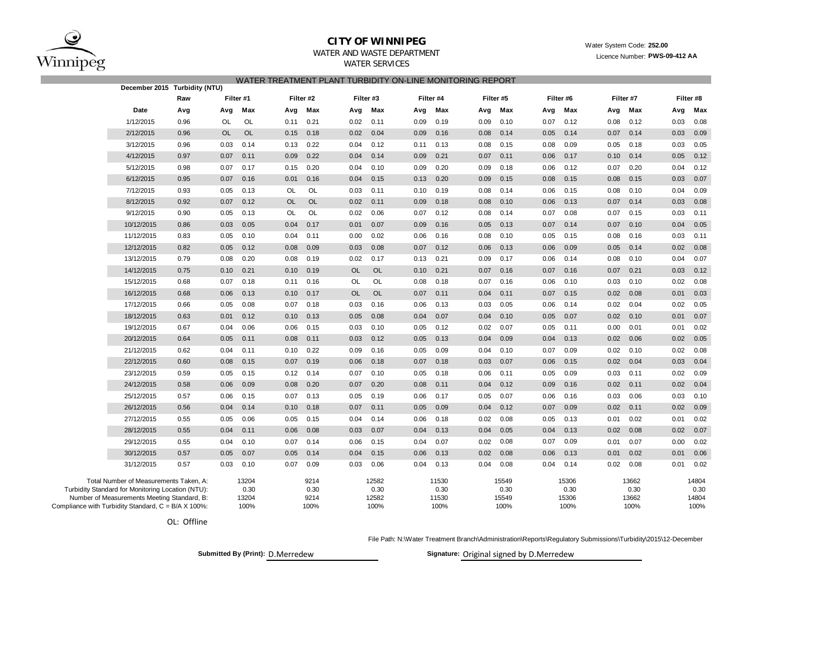

## **CITY OF WINNIPEG**

## WATER AND WASTE DEPARTMENTWATER SERVICES

|                                                     | WATER TREATMENT PLANT TURBIDITY ON-LINE MONITORING REPORT<br>December 2015 Turbidity (NTU)                                                 |                  |           |                                |           |                              |           |                                |      |                                |      |                                |      |                                |      |                                |      |                                |
|-----------------------------------------------------|--------------------------------------------------------------------------------------------------------------------------------------------|------------------|-----------|--------------------------------|-----------|------------------------------|-----------|--------------------------------|------|--------------------------------|------|--------------------------------|------|--------------------------------|------|--------------------------------|------|--------------------------------|
|                                                     |                                                                                                                                            | Filter #1<br>Raw |           |                                |           | Filter #2                    |           | Filter #3                      |      | Filter #4                      |      | Filter #5                      |      | Filter #6                      |      | Filter #7                      |      |                                |
|                                                     | Date                                                                                                                                       | Avg              | Avg       | Max                            | Avg       | Max                          | Avg       | Max                            | Avg  | Max                            | Avg  | Max                            | Avg  | Max                            | Avg  | Max                            | Avg  | Filter #8<br>Max               |
|                                                     | 1/12/2015                                                                                                                                  | 0.96             | OL        | OL                             | 0.11      | 0.21                         | 0.02      | 0.11                           | 0.09 | 0.19                           | 0.09 | 0.10                           | 0.07 | 0.12                           | 0.08 | 0.12                           | 0.03 | 0.08                           |
|                                                     | 2/12/2015                                                                                                                                  | 0.96             | <b>OL</b> | <b>OL</b>                      | 0.15      | 0.18                         | 0.02      | 0.04                           | 0.09 | 0.16                           | 0.08 | 0.14                           | 0.05 | 0.14                           | 0.07 | 0.14                           | 0.03 | 0.09                           |
|                                                     | 3/12/2015                                                                                                                                  | 0.96             | 0.03      | 0.14                           | 0.13      | 0.22                         | 0.04      | 0.12                           | 0.11 | 0.13                           | 0.08 | 0.15                           | 0.08 | 0.09                           | 0.05 | 0.18                           | 0.03 | 0.05                           |
|                                                     | 4/12/2015                                                                                                                                  | 0.97             | 0.07      | 0.11                           | 0.09      | 0.22                         | 0.04      | 0.14                           | 0.09 | 0.21                           | 0.07 | 0.11                           | 0.06 | 0.17                           | 0.10 | 0.14                           | 0.05 | 0.12                           |
|                                                     | 5/12/2015                                                                                                                                  | 0.98             | 0.07      | 0.17                           | 0.15      | 0.20                         | 0.04      | 0.10                           | 0.09 | 0.20                           | 0.09 | 0.18                           | 0.06 | 0.12                           | 0.07 | 0.20                           | 0.04 | 0.12                           |
|                                                     | 6/12/2015                                                                                                                                  | 0.95             | 0.07      | 0.16                           | 0.01      | 0.16                         | 0.04      | 0.15                           | 0.13 | 0.20                           | 0.09 | 0.15                           | 0.08 | 0.15                           | 0.08 | 0.15                           | 0.03 | 0.07                           |
|                                                     | 7/12/2015                                                                                                                                  | 0.93             | 0.05      | 0.13                           | OL        | <b>OL</b>                    | 0.03      | 0.11                           | 0.10 | 0.19                           | 0.08 | 0.14                           | 0.06 | 0.15                           | 0.08 | 0.10                           | 0.04 | 0.09                           |
|                                                     | 8/12/2015                                                                                                                                  | 0.92             | 0.07      | 0.12                           | <b>OL</b> | <b>OL</b>                    | 0.02      | 0.11                           | 0.09 | 0.18                           | 0.08 | 0.10                           | 0.06 | 0.13                           | 0.07 | 0.14                           | 0.03 | 0.08                           |
|                                                     | 9/12/2015                                                                                                                                  | 0.90             | 0.05      | 0.13                           | <b>OL</b> | OL                           | 0.02      | 0.06                           | 0.07 | 0.12                           | 0.08 | 0.14                           | 0.07 | 0.08                           | 0.07 | 0.15                           | 0.03 | 0.11                           |
|                                                     | 10/12/2015                                                                                                                                 | 0.86             | 0.03      | 0.05                           | 0.04      | 0.17                         | 0.01      | 0.07                           | 0.09 | 0.16                           | 0.05 | 0.13                           | 0.07 | 0.14                           | 0.07 | 0.10                           | 0.04 | 0.05                           |
|                                                     | 11/12/2015                                                                                                                                 | 0.83             | 0.05      | 0.10                           | 0.04      | 0.11                         | 0.00      | 0.02                           | 0.06 | 0.16                           | 0.08 | 0.10                           | 0.05 | 0.15                           | 0.08 | 0.16                           | 0.03 | 0.11                           |
|                                                     | 12/12/2015                                                                                                                                 | 0.82             | 0.05      | 0.12                           | 0.08      | 0.09                         | 0.03      | 0.08                           | 0.07 | 0.12                           | 0.06 | 0.13                           | 0.06 | 0.09                           | 0.05 | 0.14                           | 0.02 | 0.08                           |
|                                                     | 13/12/2015                                                                                                                                 | 0.79             | 0.08      | 0.20                           | 0.08      | 0.19                         | 0.02      | 0.17                           | 0.13 | 0.21                           | 0.09 | 0.17                           | 0.06 | 0.14                           | 0.08 | 0.10                           | 0.04 | 0.07                           |
|                                                     | 14/12/2015                                                                                                                                 | 0.75             | 0.10      | 0.21                           | 0.10      | 0.19                         | <b>OL</b> | <b>OL</b>                      | 0.10 | 0.21                           | 0.07 | 0.16                           | 0.07 | 0.16                           | 0.07 | 0.21                           | 0.03 | 0.12                           |
|                                                     | 15/12/2015                                                                                                                                 | 0.68             | 0.07      | 0.18                           | 0.11      | 0.16                         | OL        | OL                             | 0.08 | 0.18                           | 0.07 | 0.16                           | 0.06 | 0.10                           | 0.03 | 0.10                           | 0.02 | 0.08                           |
|                                                     | 16/12/2015                                                                                                                                 | 0.68             | 0.06      | 0.13                           | 0.10      | 0.17                         | <b>OL</b> | <b>OL</b>                      | 0.07 | 0.11                           | 0.04 | 0.11                           | 0.07 | 0.15                           | 0.02 | 0.08                           | 0.01 | 0.03                           |
|                                                     | 17/12/2015                                                                                                                                 | 0.66             | 0.05      | 0.08                           | 0.07      | 0.18                         | 0.03      | 0.16                           | 0.06 | 0.13                           | 0.03 | 0.05                           | 0.06 | 0.14                           | 0.02 | 0.04                           | 0.02 | 0.05                           |
|                                                     | 18/12/2015                                                                                                                                 | 0.63             | 0.01      | 0.12                           | 0.10      | 0.13                         | 0.05      | 0.08                           | 0.04 | 0.07                           | 0.04 | 0.10                           | 0.05 | 0.07                           | 0.02 | 0.10                           | 0.01 | 0.07                           |
|                                                     | 19/12/2015                                                                                                                                 | 0.67             | 0.04      | 0.06                           | 0.06      | 0.15                         | 0.03      | 0.10                           | 0.05 | 0.12                           | 0.02 | 0.07                           | 0.05 | 0.11                           | 0.00 | 0.01                           | 0.01 | 0.02                           |
|                                                     | 20/12/2015                                                                                                                                 | 0.64             | 0.05      | 0.11                           | 0.08      | 0.11                         | 0.03      | 0.12                           | 0.05 | 0.13                           | 0.04 | 0.09                           | 0.04 | 0.13                           | 0.02 | 0.06                           | 0.02 | 0.05                           |
|                                                     | 21/12/2015                                                                                                                                 | 0.62             | 0.04      | 0.11                           | 0.10      | 0.22                         | 0.09      | 0.16                           | 0.05 | 0.09                           | 0.04 | 0.10                           | 0.07 | 0.09                           | 0.02 | 0.10                           | 0.02 | 0.08                           |
|                                                     | 22/12/2015                                                                                                                                 | 0.60             | 0.08      | 0.15                           | 0.07      | 0.19                         | 0.06      | 0.18                           | 0.07 | 0.18                           | 0.03 | 0.07                           | 0.06 | 0.15                           | 0.02 | 0.04                           | 0.03 | 0.04                           |
|                                                     | 23/12/2015                                                                                                                                 | 0.59             | 0.05      | 0.15                           | 0.12      | 0.14                         | 0.07      | 0.10                           | 0.05 | 0.18                           | 0.06 | 0.11                           | 0.05 | 0.09                           | 0.03 | 0.11                           | 0.02 | 0.09                           |
|                                                     | 24/12/2015                                                                                                                                 | 0.58             | 0.06      | 0.09                           | 0.08      | 0.20                         | 0.07      | 0.20                           | 0.08 | 0.11                           | 0.04 | 0.12                           | 0.09 | 0.16                           | 0.02 | 0.11                           | 0.02 | 0.04                           |
|                                                     | 25/12/2015                                                                                                                                 | 0.57             | 0.06      | 0.15                           | 0.07      | 0.13                         | 0.05      | 0.19                           | 0.06 | 0.17                           | 0.05 | 0.07                           | 0.06 | 0.16                           | 0.03 | 0.06                           | 0.03 | 0.10                           |
|                                                     | 26/12/2015                                                                                                                                 | 0.56             | 0.04      | 0.14                           | 0.10      | 0.18                         | 0.07      | 0.11                           | 0.05 | 0.09                           | 0.04 | 0.12                           | 0.07 | 0.09                           | 0.02 | 0.11                           | 0.02 | 0.09                           |
|                                                     | 27/12/2015                                                                                                                                 | 0.55             | 0.05      | 0.06                           | 0.05      | 0.15                         | 0.04      | 0.14                           | 0.06 | 0.18                           | 0.02 | 0.08                           | 0.05 | 0.13                           | 0.01 | 0.02                           | 0.01 | 0.02                           |
|                                                     | 28/12/2015                                                                                                                                 | 0.55             | 0.04      | 0.11                           | 0.06      | 0.08                         | 0.03      | 0.07                           | 0.04 | 0.13                           | 0.04 | 0.05                           | 0.04 | 0.13                           | 0.02 | 0.08                           | 0.02 | 0.07                           |
|                                                     | 29/12/2015                                                                                                                                 | 0.55             | 0.04      | 0.10                           | 0.07      | 0.14                         | 0.06      | 0.15                           | 0.04 | 0.07                           | 0.02 | 0.08                           | 0.07 | 0.09                           | 0.01 | 0.07                           | 0.00 | 0.02                           |
|                                                     | 30/12/2015                                                                                                                                 | 0.57             | 0.05      | 0.07                           | 0.05      | 0.14                         | 0.04      | 0.15                           | 0.06 | 0.13                           | 0.02 | 0.08                           | 0.06 | 0.13                           | 0.01 | 0.02                           | 0.01 | 0.06                           |
|                                                     | 31/12/2015                                                                                                                                 | 0.57             | 0.03      | 0.10                           | 0.07      | 0.09                         | 0.03      | 0.06                           | 0.04 | 0.13                           | 0.04 | 0.08                           | 0.04 | 0.14                           | 0.02 | 0.08                           | 0.01 | 0.02                           |
| Compliance with Turbidity Standard, C = B/A X 100%: | Total Number of Measurements Taken, A:<br>Turbidity Standard for Monitoring Location (NTU):<br>Number of Measurements Meeting Standard, B: |                  |           | 13204<br>0.30<br>13204<br>100% |           | 9214<br>0.30<br>9214<br>100% |           | 12582<br>0.30<br>12582<br>100% |      | 11530<br>0.30<br>11530<br>100% |      | 15549<br>0.30<br>15549<br>100% |      | 15306<br>0.30<br>15306<br>100% |      | 13662<br>0.30<br>13662<br>100% |      | 14804<br>0.30<br>14804<br>100% |

OL: Offline

File Path: N:\Water Treatment Branch\Administration\Reports\Regulatory Submissions\Turbidity\2015\12-December

Submitted By (Print): D.Merredew **Discussed By A.M. Signature:** Original signed by D.Merredew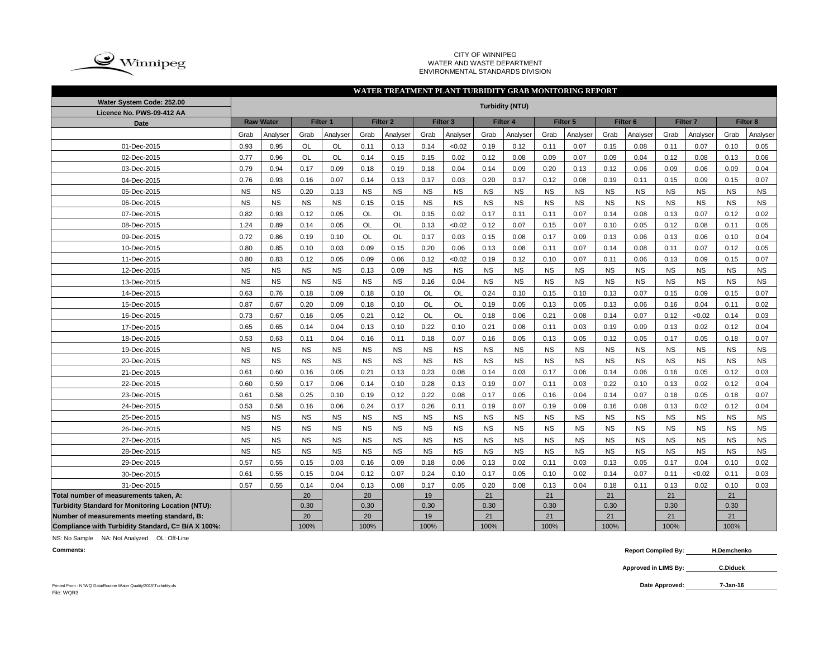

#### CITY OF WINNIPEG WATER AND WASTE DEPARTMENT ENVIRONMENTAL STANDARDS DIVISION

### **WATER TREATMENT PLANT TURBIDITY GRAB MONITORING REPORT**

| Water System Code: 252.00<br>Licence No. PWS-09-412 AA | <b>Turbidity (NTU)</b> |                  |           |           |           |                     |           |                     |           |           |           |           |                     |           |           |                     |           |                     |
|--------------------------------------------------------|------------------------|------------------|-----------|-----------|-----------|---------------------|-----------|---------------------|-----------|-----------|-----------|-----------|---------------------|-----------|-----------|---------------------|-----------|---------------------|
| Date                                                   |                        | <b>Raw Water</b> |           | Filter 1  |           | Filter <sub>2</sub> |           | Filter <sub>3</sub> |           | Filter 4  |           | Filter 5  | Filter <sub>6</sub> |           |           | Filter <sub>7</sub> |           | Filter <sub>8</sub> |
|                                                        | Grab                   | Analyser         | Grab      | Analyser  | Grab      | Analyser            | Grab      | Analyser            | Grab      | Analyser  | Grab      | Analyser  | Grab                | Analyser  | Grab      | Analyser            | Grab      | Analyser            |
| 01-Dec-2015                                            | 0.93                   | 0.95             | <b>OL</b> | <b>OL</b> | 0.11      | 0.13                | 0.14      | < 0.02              | 0.19      | 0.12      | 0.11      | 0.07      | 0.15                | 0.08      | 0.11      | 0.07                | 0.10      | 0.05                |
| 02-Dec-2015                                            | 0.77                   | 0.96             | OL        | OL        | 0.14      | 0.15                | 0.15      | 0.02                | 0.12      | 0.08      | 0.09      | 0.07      | 0.09                | 0.04      | 0.12      | 0.08                | 0.13      | 0.06                |
| 03-Dec-2015                                            | 0.79                   | 0.94             | 0.17      | 0.09      | 0.18      | 0.19                | 0.18      | 0.04                | 0.14      | 0.09      | 0.20      | 0.13      | 0.12                | 0.06      | 0.09      | 0.06                | 0.09      | 0.04                |
| 04-Dec-2015                                            | 0.76                   | 0.93             | 0.16      | 0.07      | 0.14      | 0.13                | 0.17      | 0.03                | 0.20      | 0.17      | 0.12      | 0.08      | 0.19                | 0.11      | 0.15      | 0.09                | 0.15      | 0.07                |
| 05-Dec-2015                                            | <b>NS</b>              | <b>NS</b>        | 0.20      | 0.13      | <b>NS</b> | <b>NS</b>           | <b>NS</b> | <b>NS</b>           | <b>NS</b> | <b>NS</b> | <b>NS</b> | <b>NS</b> | <b>NS</b>           | <b>NS</b> | <b>NS</b> | <b>NS</b>           | <b>NS</b> | <b>NS</b>           |
| 06-Dec-2015                                            | <b>NS</b>              | <b>NS</b>        | <b>NS</b> | <b>NS</b> | 0.15      | 0.15                | <b>NS</b> | <b>NS</b>           | <b>NS</b> | <b>NS</b> | <b>NS</b> | <b>NS</b> | <b>NS</b>           | <b>NS</b> | <b>NS</b> | <b>NS</b>           | <b>NS</b> | <b>NS</b>           |
| 07-Dec-2015                                            | 0.82                   | 0.93             | 0.12      | 0.05      | <b>OL</b> | OL                  | 0.15      | 0.02                | 0.17      | 0.11      | 0.11      | 0.07      | 0.14                | 0.08      | 0.13      | 0.07                | 0.12      | 0.02                |
| 08-Dec-2015                                            | 1.24                   | 0.89             | 0.14      | 0.05      | OL        | OL                  | 0.13      | <0.02               | 0.12      | 0.07      | 0.15      | 0.07      | 0.10                | 0.05      | 0.12      | 0.08                | 0.11      | 0.05                |
| 09-Dec-2015                                            | 0.72                   | 0.86             | 0.19      | 0.10      | <b>OL</b> | <b>OL</b>           | 0.17      | 0.03                | 0.15      | 0.08      | 0.17      | 0.09      | 0.13                | 0.06      | 0.13      | 0.06                | 0.10      | 0.04                |
| 10-Dec-2015                                            | 0.80                   | 0.85             | 0.10      | 0.03      | 0.09      | 0.15                | 0.20      | 0.06                | 0.13      | 0.08      | 0.11      | 0.07      | 0.14                | 0.08      | 0.11      | 0.07                | 0.12      | 0.05                |
| 11-Dec-2015                                            | 0.80                   | 0.83             | 0.12      | 0.05      | 0.09      | 0.06                | 0.12      | < 0.02              | 0.19      | 0.12      | 0.10      | 0.07      | 0.11                | 0.06      | 0.13      | 0.09                | 0.15      | 0.07                |
| 12-Dec-2015                                            | <b>NS</b>              | <b>NS</b>        | <b>NS</b> | <b>NS</b> | 0.13      | 0.09                | <b>NS</b> | <b>NS</b>           | <b>NS</b> | <b>NS</b> | <b>NS</b> | <b>NS</b> | <b>NS</b>           | <b>NS</b> | <b>NS</b> | <b>NS</b>           | <b>NS</b> | <b>NS</b>           |
| 13-Dec-2015                                            | <b>NS</b>              | <b>NS</b>        | <b>NS</b> | <b>NS</b> | <b>NS</b> | <b>NS</b>           | 0.16      | 0.04                | <b>NS</b> | <b>NS</b> | <b>NS</b> | <b>NS</b> | <b>NS</b>           | <b>NS</b> | <b>NS</b> | <b>NS</b>           | <b>NS</b> | $_{\rm NS}$         |
| 14-Dec-2015                                            | 0.63                   | 0.76             | 0.18      | 0.09      | 0.18      | 0.10                | OL        | OL                  | 0.24      | 0.10      | 0.15      | 0.10      | 0.13                | 0.07      | 0.15      | 0.09                | 0.15      | 0.07                |
| 15-Dec-2015                                            | 0.87                   | 0.67             | 0.20      | 0.09      | 0.18      | 0.10                | OL        | OL                  | 0.19      | 0.05      | 0.13      | 0.05      | 0.13                | 0.06      | 0.16      | 0.04                | 0.11      | 0.02                |
| 16-Dec-2015                                            | 0.73                   | 0.67             | 0.16      | 0.05      | 0.21      | 0.12                | OL        | OL                  | 0.18      | 0.06      | 0.21      | 0.08      | 0.14                | 0.07      | 0.12      | < 0.02              | 0.14      | 0.03                |
| 17-Dec-2015                                            | 0.65                   | 0.65             | 0.14      | 0.04      | 0.13      | 0.10                | 0.22      | 0.10                | 0.21      | 0.08      | 0.11      | 0.03      | 0.19                | 0.09      | 0.13      | 0.02                | 0.12      | 0.04                |
| 18-Dec-2015                                            | 0.53                   | 0.63             | 0.11      | 0.04      | 0.16      | 0.11                | 0.18      | 0.07                | 0.16      | 0.05      | 0.13      | 0.05      | 0.12                | 0.05      | 0.17      | 0.05                | 0.18      | 0.07                |
| 19-Dec-2015                                            | <b>NS</b>              | <b>NS</b>        | <b>NS</b> | <b>NS</b> | <b>NS</b> | <b>NS</b>           | <b>NS</b> | <b>NS</b>           | <b>NS</b> | <b>NS</b> | <b>NS</b> | <b>NS</b> | <b>NS</b>           | <b>NS</b> | <b>NS</b> | <b>NS</b>           | <b>NS</b> | $_{\rm NS}$         |
| 20-Dec-2015                                            | <b>NS</b>              | <b>NS</b>        | <b>NS</b> | <b>NS</b> | <b>NS</b> | <b>NS</b>           | <b>NS</b> | <b>NS</b>           | <b>NS</b> | <b>NS</b> | <b>NS</b> | <b>NS</b> | <b>NS</b>           | <b>NS</b> | <b>NS</b> | <b>NS</b>           | <b>NS</b> | <b>NS</b>           |
| 21-Dec-2015                                            | 0.61                   | 0.60             | 0.16      | 0.05      | 0.21      | 0.13                | 0.23      | 0.08                | 0.14      | 0.03      | 0.17      | 0.06      | 0.14                | 0.06      | 0.16      | 0.05                | 0.12      | 0.03                |
| 22-Dec-2015                                            | 0.60                   | 0.59             | 0.17      | 0.06      | 0.14      | 0.10                | 0.28      | 0.13                | 0.19      | 0.07      | 0.11      | 0.03      | 0.22                | 0.10      | 0.13      | 0.02                | 0.12      | 0.04                |
| 23-Dec-2015                                            | 0.61                   | 0.58             | 0.25      | 0.10      | 0.19      | 0.12                | 0.22      | 0.08                | 0.17      | 0.05      | 0.16      | 0.04      | 0.14                | 0.07      | 0.18      | 0.05                | 0.18      | 0.07                |
| 24-Dec-2015                                            | 0.53                   | 0.58             | 0.16      | 0.06      | 0.24      | 0.17                | 0.26      | 0.11                | 0.19      | 0.07      | 0.19      | 0.09      | 0.16                | 0.08      | 0.13      | 0.02                | 0.12      | 0.04                |
| 25-Dec-2015                                            | <b>NS</b>              | <b>NS</b>        | <b>NS</b> | <b>NS</b> | <b>NS</b> | <b>NS</b>           | <b>NS</b> | <b>NS</b>           | <b>NS</b> | <b>NS</b> | <b>NS</b> | <b>NS</b> | <b>NS</b>           | <b>NS</b> | <b>NS</b> | <b>NS</b>           | <b>NS</b> | <b>NS</b>           |
| 26-Dec-2015                                            | <b>NS</b>              | <b>NS</b>        | <b>NS</b> | <b>NS</b> | <b>NS</b> | <b>NS</b>           | <b>NS</b> | <b>NS</b>           | <b>NS</b> | <b>NS</b> | <b>NS</b> | <b>NS</b> | <b>NS</b>           | <b>NS</b> | <b>NS</b> | <b>NS</b>           | <b>NS</b> | <b>NS</b>           |
| 27-Dec-2015                                            | <b>NS</b>              | <b>NS</b>        | <b>NS</b> | <b>NS</b> | <b>NS</b> | <b>NS</b>           | <b>NS</b> | <b>NS</b>           | <b>NS</b> | <b>NS</b> | <b>NS</b> | <b>NS</b> | <b>NS</b>           | <b>NS</b> | <b>NS</b> | <b>NS</b>           | <b>NS</b> | <b>NS</b>           |
| 28-Dec-2015                                            | <b>NS</b>              | <b>NS</b>        | <b>NS</b> | <b>NS</b> | <b>NS</b> | <b>NS</b>           | <b>NS</b> | <b>NS</b>           | <b>NS</b> | <b>NS</b> | <b>NS</b> | <b>NS</b> | <b>NS</b>           | <b>NS</b> | <b>NS</b> | <b>NS</b>           | <b>NS</b> | <b>NS</b>           |
| 29-Dec-2015                                            | 0.57                   | 0.55             | 0.15      | 0.03      | 0.16      | 0.09                | 0.18      | 0.06                | 0.13      | 0.02      | 0.11      | 0.03      | 0.13                | 0.05      | 0.17      | 0.04                | 0.10      | 0.02                |
| 30-Dec-2015                                            | 0.61                   | 0.55             | 0.15      | 0.04      | 0.12      | 0.07                | 0.24      | 0.10                | 0.17      | 0.05      | 0.10      | 0.02      | 0.14                | 0.07      | 0.11      | < 0.02              | 0.11      | 0.03                |
| 31-Dec-2015                                            | 0.57                   | 0.55             | 0.14      | 0.04      | 0.13      | 0.08                | 0.17      | 0.05                | 0.20      | 0.08      | 0.13      | 0.04      | 0.18                | 0.11      | 0.13      | 0.02                | 0.10      | 0.03                |
| Total number of measurements taken, A:                 |                        |                  | 20        |           | 20        |                     | 19        |                     | 21        |           | 21        |           | 21                  |           | 21        |                     | 21        |                     |
| Turbidity Standard for Monitoring Location (NTU):      |                        |                  | 0.30      |           | 0.30      |                     | 0.30      |                     | 0.30      |           | 0.30      |           | 0.30                |           | 0.30      |                     | 0.30      |                     |
| Number of measurements meeting standard, B:            |                        |                  | 20        |           | 20        |                     | 19        |                     | 21        |           | 21        |           | 21                  |           | 21        |                     | 21        |                     |
| Compliance with Turbidity Standard, C= B/A X 100%:     |                        |                  | 100%      |           | 100%      |                     | 100%      |                     | 100%      |           | 100%      |           | 100%                |           | 100%      |                     | 100%      |                     |

NS: No Sample NA: Not Analyzed OL: Off-Line

**Comments: Report Compiled By: H.Demchenko**

> **Approved in LIMS By: C.Diduck**

**7-Jan-16**

Printed From : N:\WQ Data\Routine Water Quality\2015\Turbidity.xls **Date Approved:** File: WQR3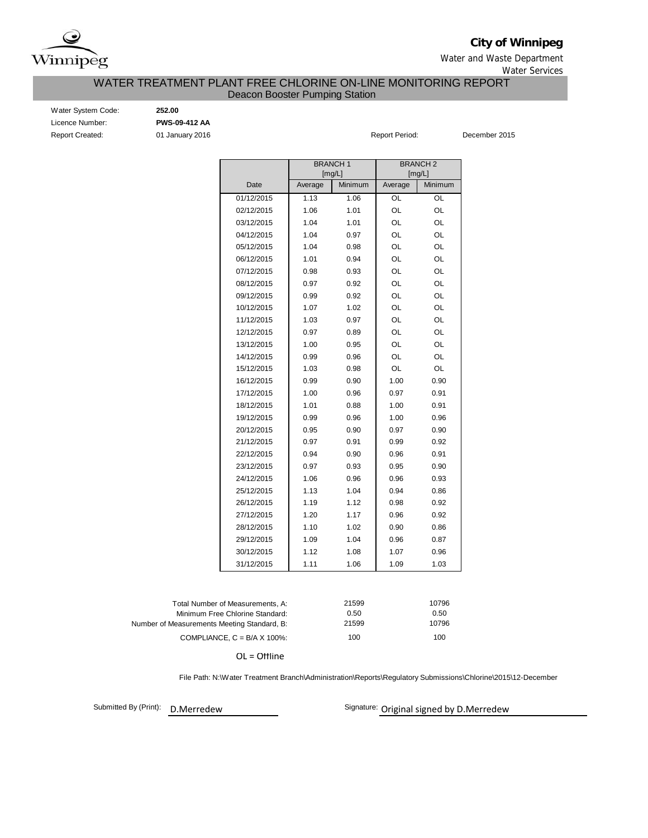

**City of Winnipeg**

Water and Waste Department Water Services

### WATER TREATMENT PLANT FREE CHLORINE ON-LINE MONITORING REPORT Deacon Booster Pumping Station

Report Created: **01 January 2016 Report Period:** December 2015 Water System Code: **252.00** Licence Number: **PWS-09-412 AA**

|            |         | <b>BRANCH1</b> | <b>BRANCH2</b> |         |  |  |  |  |  |
|------------|---------|----------------|----------------|---------|--|--|--|--|--|
|            |         | [mg/L]         |                | [mg/L]  |  |  |  |  |  |
| Date       | Average | Minimum        | Average        | Minimum |  |  |  |  |  |
| 01/12/2015 | 1.13    | 1.06           | OL             | OL      |  |  |  |  |  |
| 02/12/2015 | 1.06    | 1.01           | OL             | OL      |  |  |  |  |  |
| 03/12/2015 | 1.04    | 1.01           | OL             | OL      |  |  |  |  |  |
| 04/12/2015 | 1.04    | 0.97           | OL             | OL      |  |  |  |  |  |
| 05/12/2015 | 1.04    | 0.98           | OL             | OL      |  |  |  |  |  |
| 06/12/2015 | 1.01    | 0.94           | OL             | OL      |  |  |  |  |  |
| 07/12/2015 | 0.98    | 0.93           | OL             | OL      |  |  |  |  |  |
| 08/12/2015 | 0.97    | 0.92           | OL             | OL      |  |  |  |  |  |
| 09/12/2015 | 0.99    | 0.92           | OL             | OL      |  |  |  |  |  |
| 10/12/2015 | 1.07    | 1.02           | OL             | OL      |  |  |  |  |  |
| 11/12/2015 | 1.03    | 0.97           | OL             | OL      |  |  |  |  |  |
| 12/12/2015 | 0.97    | 0.89           | OL             | OL      |  |  |  |  |  |
| 13/12/2015 | 1.00    | 0.95           | OL             | OL      |  |  |  |  |  |
| 14/12/2015 | 0.99    | 0.96           | OL             | OL      |  |  |  |  |  |
| 15/12/2015 | 1.03    | 0.98           | OL             | OL      |  |  |  |  |  |
| 16/12/2015 | 0.99    | 0.90           | 1.00           | 0.90    |  |  |  |  |  |
| 17/12/2015 | 1.00    | 0.96           | 0.97           | 0.91    |  |  |  |  |  |
| 18/12/2015 | 1.01    | 0.88           | 1.00           | 0.91    |  |  |  |  |  |
| 19/12/2015 | 0.99    | 0.96           | 1.00           | 0.96    |  |  |  |  |  |
| 20/12/2015 | 0.95    | 0.90           | 0.97           | 0.90    |  |  |  |  |  |
| 21/12/2015 | 0.97    | 0.91           | 0.99           | 0.92    |  |  |  |  |  |
| 22/12/2015 | 0.94    | 0.90           | 0.96           | 0.91    |  |  |  |  |  |
| 23/12/2015 | 0.97    | 0.93           | 0.95           | 0.90    |  |  |  |  |  |
| 24/12/2015 | 1.06    | 0.96           | 0.96           | 0.93    |  |  |  |  |  |
| 25/12/2015 | 1.13    | 1.04           | 0.94           | 0.86    |  |  |  |  |  |
| 26/12/2015 | 1.19    | 1.12           | 0.98           | 0.92    |  |  |  |  |  |
| 27/12/2015 | 1.20    | 1.17           | 0.96           | 0.92    |  |  |  |  |  |
| 28/12/2015 | 1.10    | 1.02           | 0.90           | 0.86    |  |  |  |  |  |
| 29/12/2015 | 1.09    | 1.04           | 0.96           | 0.87    |  |  |  |  |  |
| 30/12/2015 | 1.12    | 1.08           | 1.07           | 0.96    |  |  |  |  |  |
| 31/12/2015 | 1.11    | 1.06           | 1.09           | 1.03    |  |  |  |  |  |
|            |         |                |                |         |  |  |  |  |  |

| Total Number of Measurements. A:            | 21599 | 10796 |
|---------------------------------------------|-------|-------|
| Minimum Free Chlorine Standard:             | 0.50  | 0.50  |
| Number of Measurements Meeting Standard, B: | 21599 | 10796 |
| COMPLIANCE, $C = B/A \times 100\%$ :        | 100   | 100   |

OL = Offline

File Path: N:\Water Treatment Branch\Administration\Reports\Regulatory Submissions\Chlorine\2015\12-December

Submitted By (Print): D.Merredew

Signature: Original signed by D.Merredew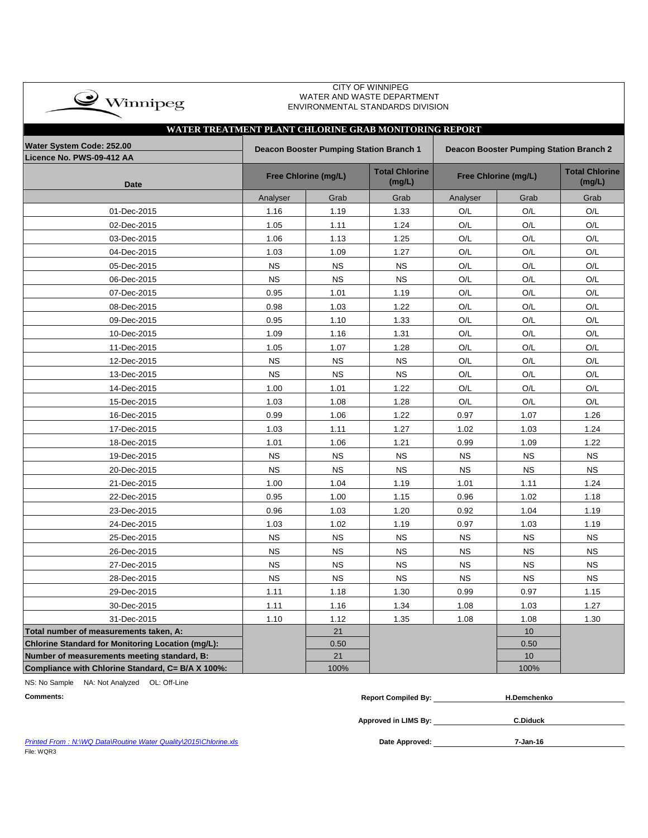| $\bullet$ Winnipeg |  |
|--------------------|--|
|                    |  |

#### CITY OF WINNIPEG WATER AND WASTE DEPARTMENT ENVIRONMENTAL STANDARDS DIVISION

| WATER TREATMENT PLANT CHLORINE GRAB MONITORING REPORT    |           |                                                |                                 |                                         |                      |                                 |  |  |  |  |  |  |  |  |
|----------------------------------------------------------|-----------|------------------------------------------------|---------------------------------|-----------------------------------------|----------------------|---------------------------------|--|--|--|--|--|--|--|--|
| Water System Code: 252.00                                |           | <b>Deacon Booster Pumping Station Branch 1</b> |                                 | Deacon Booster Pumping Station Branch 2 |                      |                                 |  |  |  |  |  |  |  |  |
| Licence No. PWS-09-412 AA                                |           |                                                |                                 |                                         |                      |                                 |  |  |  |  |  |  |  |  |
| <b>Date</b>                                              |           | Free Chlorine (mg/L)                           | <b>Total Chlorine</b><br>(mg/L) |                                         | Free Chlorine (mg/L) | <b>Total Chlorine</b><br>(mg/L) |  |  |  |  |  |  |  |  |
|                                                          | Analyser  | Grab                                           | Grab                            | Analyser                                | Grab                 | Grab                            |  |  |  |  |  |  |  |  |
| 01-Dec-2015                                              | 1.16      | 1.19                                           | 1.33                            | O/L                                     | O/L                  | O/L                             |  |  |  |  |  |  |  |  |
| 02-Dec-2015                                              | 1.05      | 1.11                                           | 1.24                            | O/L                                     | O/L                  | O/L                             |  |  |  |  |  |  |  |  |
| 03-Dec-2015                                              | 1.06      | 1.13                                           | 1.25                            | O/L                                     | O/L                  | O/L                             |  |  |  |  |  |  |  |  |
| 04-Dec-2015                                              | 1.03      | 1.09                                           | 1.27                            | O/L                                     | O/L                  | O/L                             |  |  |  |  |  |  |  |  |
| 05-Dec-2015                                              | <b>NS</b> | <b>NS</b>                                      | <b>NS</b>                       | O/L                                     | O/L                  | O/L                             |  |  |  |  |  |  |  |  |
| 06-Dec-2015                                              | <b>NS</b> | <b>NS</b>                                      | <b>NS</b>                       | O/L                                     | O/L                  | O/L                             |  |  |  |  |  |  |  |  |
| 07-Dec-2015                                              | 0.95      | 1.01                                           | 1.19                            | O/L                                     | O/L                  | O/L                             |  |  |  |  |  |  |  |  |
| 08-Dec-2015                                              | 0.98      | 1.03                                           | 1.22                            | O/L                                     | O/L                  | O/L                             |  |  |  |  |  |  |  |  |
| 09-Dec-2015                                              | 0.95      | 1.10                                           | 1.33                            | O/L                                     | O/L                  | O/L                             |  |  |  |  |  |  |  |  |
| 10-Dec-2015                                              | 1.09      | 1.16                                           | 1.31                            | O/L                                     | O/L                  | O/L                             |  |  |  |  |  |  |  |  |
| 11-Dec-2015                                              | 1.05      | 1.07                                           | 1.28                            | O/L                                     | O/L                  | O/L                             |  |  |  |  |  |  |  |  |
| 12-Dec-2015                                              | <b>NS</b> | <b>NS</b>                                      | ΝS                              | O/L                                     | O/L                  | O/L                             |  |  |  |  |  |  |  |  |
| 13-Dec-2015                                              | <b>NS</b> | <b>NS</b>                                      | <b>NS</b>                       | O/L                                     | O/L                  | O/L                             |  |  |  |  |  |  |  |  |
| 14-Dec-2015                                              | 1.00      | 1.01                                           | 1.22                            | O/L                                     | O/L                  | O/L                             |  |  |  |  |  |  |  |  |
| 15-Dec-2015                                              | 1.03      | 1.08                                           | 1.28                            | O/L                                     | O/L                  | O/L                             |  |  |  |  |  |  |  |  |
| 16-Dec-2015                                              | 0.99      | 1.06                                           | 1.22                            | 0.97                                    | 1.07                 | 1.26                            |  |  |  |  |  |  |  |  |
| 17-Dec-2015                                              | 1.03      | 1.11                                           | 1.27                            | 1.02                                    | 1.03                 | 1.24                            |  |  |  |  |  |  |  |  |
| 18-Dec-2015                                              | 1.01      | 1.06                                           | 1.21                            | 0.99                                    | 1.09                 | 1.22                            |  |  |  |  |  |  |  |  |
| 19-Dec-2015                                              | <b>NS</b> | <b>NS</b>                                      | <b>NS</b>                       | <b>NS</b>                               | <b>NS</b>            | <b>NS</b>                       |  |  |  |  |  |  |  |  |
| 20-Dec-2015                                              | <b>NS</b> | <b>NS</b>                                      | <b>NS</b>                       | <b>NS</b>                               | <b>NS</b>            | <b>NS</b>                       |  |  |  |  |  |  |  |  |
| 21-Dec-2015                                              | 1.00      | 1.04                                           | 1.19                            | 1.01                                    | 1.11                 | 1.24                            |  |  |  |  |  |  |  |  |
| 22-Dec-2015                                              | 0.95      | 1.00                                           | 1.15                            | 0.96                                    | 1.02                 | 1.18                            |  |  |  |  |  |  |  |  |
| 23-Dec-2015                                              | 0.96      | 1.03                                           | 1.20                            | 0.92                                    | 1.04                 | 1.19                            |  |  |  |  |  |  |  |  |
| 24-Dec-2015                                              | 1.03      | 1.02                                           | 1.19                            | 0.97                                    | 1.03                 | 1.19                            |  |  |  |  |  |  |  |  |
| 25-Dec-2015                                              | <b>NS</b> | <b>NS</b>                                      | <b>NS</b>                       | <b>NS</b>                               | <b>NS</b>            | <b>NS</b>                       |  |  |  |  |  |  |  |  |
| 26-Dec-2015                                              | <b>NS</b> | <b>NS</b>                                      | <b>NS</b>                       | <b>NS</b>                               | <b>NS</b>            | <b>NS</b>                       |  |  |  |  |  |  |  |  |
| 27-Dec-2015                                              | <b>NS</b> | <b>NS</b>                                      | <b>NS</b>                       | <b>NS</b>                               | <b>NS</b>            | <b>NS</b>                       |  |  |  |  |  |  |  |  |
| 28-Dec-2015                                              | <b>NS</b> | <b>NS</b>                                      | <b>NS</b>                       | <b>NS</b>                               | <b>NS</b>            | <b>NS</b>                       |  |  |  |  |  |  |  |  |
| 29-Dec-2015                                              | 1.11      | 1.18                                           | 1.30                            | 0.99                                    | 0.97                 | 1.15                            |  |  |  |  |  |  |  |  |
| 30-Dec-2015                                              | 1.11      | 1.16                                           | 1.34                            | 1.08                                    | 1.03                 | 1.27                            |  |  |  |  |  |  |  |  |
| 31-Dec-2015                                              | 1.10      | 1.12                                           | 1.35                            | 1.08                                    | 1.08                 | 1.30                            |  |  |  |  |  |  |  |  |
| Total number of measurements taken, A:                   |           | 21                                             |                                 |                                         | 10                   |                                 |  |  |  |  |  |  |  |  |
| <b>Chlorine Standard for Monitoring Location (mg/L):</b> |           | 0.50                                           |                                 |                                         | 0.50                 |                                 |  |  |  |  |  |  |  |  |
| Number of measurements meeting standard, B:              |           | 21                                             |                                 |                                         | 10                   |                                 |  |  |  |  |  |  |  |  |
| Compliance with Chlorine Standard, C= B/A X 100%:        |           | 100%                                           |                                 |                                         | 100%                 |                                 |  |  |  |  |  |  |  |  |

NS: No Sample NA: Not Analyzed OL: Off-Line

| <b>Comments:</b> | Report C<br>. Compiled Bv:<br>___ | Demchenko |
|------------------|-----------------------------------|-----------|
|                  |                                   |           |

**Approved in LIMS By: C.Diduck**

Date Approved: 7-Jan-16

**Printed From : N:\WQ Data\Routine Water Quality\2015\Chlorine.xls** File: WQR3